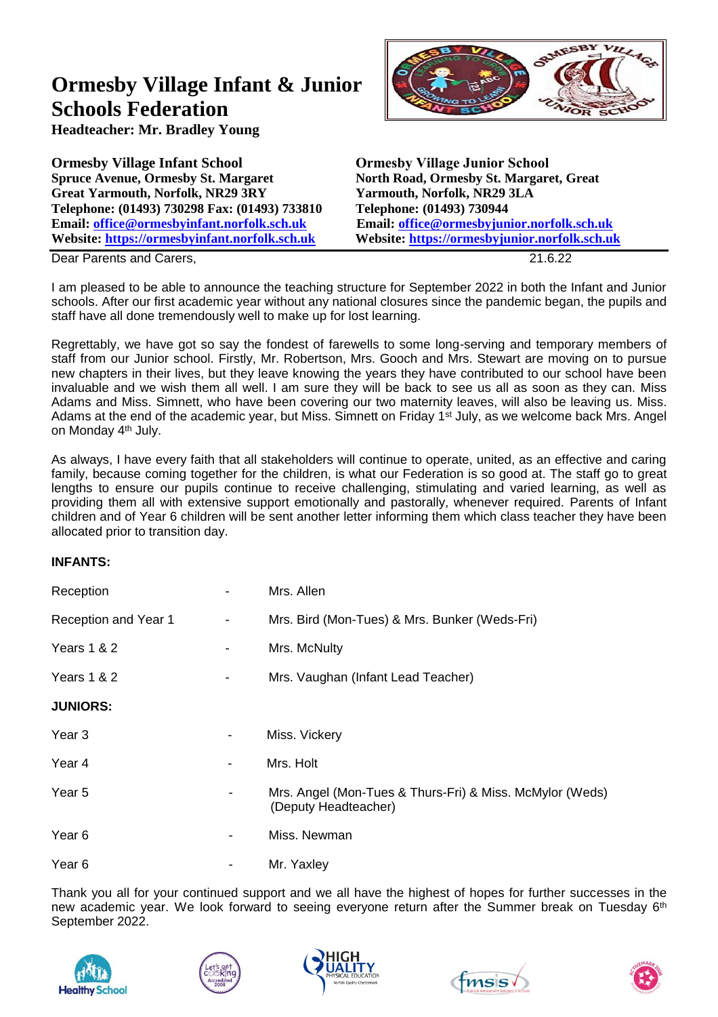## **Ormesby Village Infant & Junior Schools Federation**

**Headteacher: Mr. Bradley Young**

**Ormesby Village Infant School Ormesby Village Junior School Great Yarmouth, Norfolk, NR29 3RY Yarmouth, Norfolk, NR29 3LA Telephone: (01493) 730298 Fax: (01493) 733810 Telephone: (01493) 730944 Email: [office@ormesbyinfant.norfolk.sch.uk](mailto:office@ormesbyinfant.norfolk.sch.uk) Email: [office@ormesbyjunior.norfolk.sch.uk](mailto:office@ormesbyjunior.norfolk.sch.uk) Website: [https://ormesbyinfant.norfolk.sch.uk](https://ormesbyvillageinfantschool.org/) Website: [https://ormesbyjunior.norfolk.sch.uk](https://ormesbyjunior.norfolk.sch.uk/)**

**North Road, Ormesby St. Margaret, Great** 

 $\overline{v}$ 

**Dear Parents and Carers, 21.6.22** 

I am pleased to be able to announce the teaching structure for September 2022 in both the Infant and Junior schools. After our first academic year without any national closures since the pandemic began, the pupils and staff have all done tremendously well to make up for lost learning.

Regrettably, we have got so say the fondest of farewells to some long-serving and temporary members of staff from our Junior school. Firstly, Mr. Robertson, Mrs. Gooch and Mrs. Stewart are moving on to pursue new chapters in their lives, but they leave knowing the years they have contributed to our school have been invaluable and we wish them all well. I am sure they will be back to see us all as soon as they can. Miss Adams and Miss. Simnett, who have been covering our two maternity leaves, will also be leaving us. Miss. Adams at the end of the academic year, but Miss. Simnett on Friday 1<sup>st</sup> July, as we welcome back Mrs. Angel on Monday 4th July.

As always, I have every faith that all stakeholders will continue to operate, united, as an effective and caring family, because coming together for the children, is what our Federation is so good at. The staff go to great lengths to ensure our pupils continue to receive challenging, stimulating and varied learning, as well as providing them all with extensive support emotionally and pastorally, whenever required. Parents of Infant children and of Year 6 children will be sent another letter informing them which class teacher they have been allocated prior to transition day.

## **INFANTS:**

| Reception            |                | Mrs. Allen                                                                       |
|----------------------|----------------|----------------------------------------------------------------------------------|
| Reception and Year 1 | $\blacksquare$ | Mrs. Bird (Mon-Tues) & Mrs. Bunker (Weds-Fri)                                    |
| Years 1 & 2          | $\blacksquare$ | Mrs. McNulty                                                                     |
| Years 1 & 2          |                | Mrs. Vaughan (Infant Lead Teacher)                                               |
| <b>JUNIORS:</b>      |                |                                                                                  |
| Year <sub>3</sub>    |                | Miss. Vickery                                                                    |
| Year 4               |                | Mrs. Holt                                                                        |
| Year 5               |                | Mrs. Angel (Mon-Tues & Thurs-Fri) & Miss. McMylor (Weds)<br>(Deputy Headteacher) |
| Year 6               |                | Miss. Newman                                                                     |
| Year <sub>6</sub>    |                | Mr. Yaxley                                                                       |

Thank you all for your continued support and we all have the highest of hopes for further successes in the new academic year. We look forward to seeing everyone return after the Summer break on Tuesday 6<sup>th</sup> September 2022.